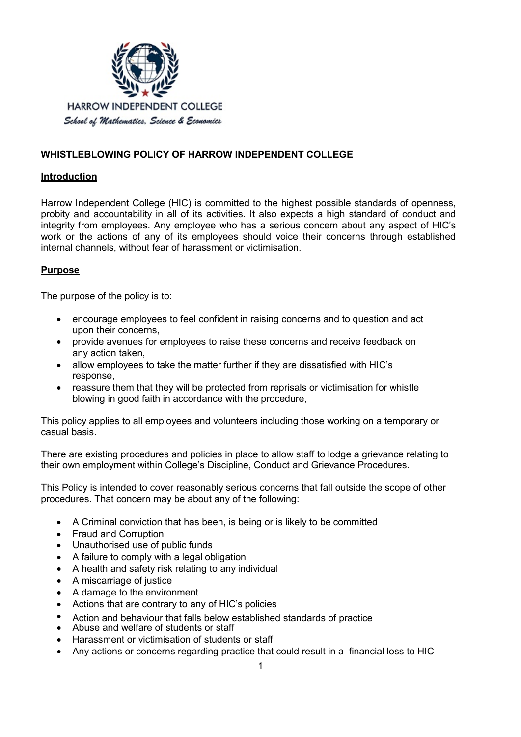

# **WHISTLEBLOWING POLICY OF HARROW INDEPENDENT COLLEGE**

#### **Introduction**

Harrow Independent College (HIC) is committed to the highest possible standards of openness, probity and accountability in all of its activities. It also expects a high standard of conduct and integrity from employees. Any employee who has a serious concern about any aspect of HIC's work or the actions of any of its employees should voice their concerns through established internal channels, without fear of harassment or victimisation.

#### **Purpose**

The purpose of the policy is to:

- encourage employees to feel confident in raising concerns and to question and act upon their concerns,
- provide avenues for employees to raise these concerns and receive feedback on any action taken,
- allow employees to take the matter further if they are dissatisfied with HIC's response,
- reassure them that they will be protected from reprisals or victimisation for whistle blowing in good faith in accordance with the procedure,

This policy applies to all employees and volunteers including those working on a temporary or casual basis.

There are existing procedures and policies in place to allow staff to lodge a grievance relating to their own employment within College's Discipline, Conduct and Grievance Procedures.

This Policy is intended to cover reasonably serious concerns that fall outside the scope of other procedures. That concern may be about any of the following:

- A Criminal conviction that has been, is being or is likely to be committed
- Fraud and Corruption
- Unauthorised use of public funds
- A failure to comply with a legal obligation
- A health and safety risk relating to any individual
- A miscarriage of justice
- A damage to the environment
- Actions that are contrary to any of HIC's policies
- Action and behaviour that falls below established standards of practice
- Abuse and welfare of students or staff
- Harassment or victimisation of students or staff
- Any actions or concerns regarding practice that could result in a financial loss to HIC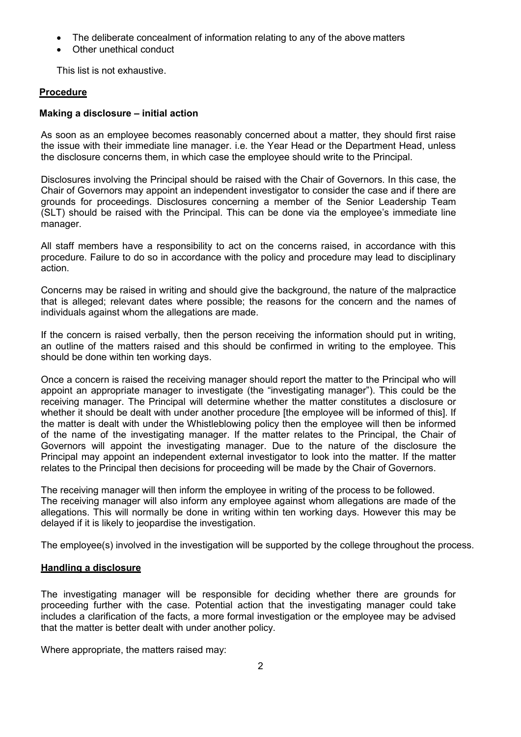- The deliberate concealment of information relating to any of the above matters
- Other unethical conduct

This list is not exhaustive.

#### **Procedure**

#### **Making a disclosure – initial action**

As soon as an employee becomes reasonably concerned about a matter, they should first raise the issue with their immediate line manager. i.e. the Year Head or the Department Head, unless the disclosure concerns them, in which case the employee should write to the Principal.

Disclosures involving the Principal should be raised with the Chair of Governors. In this case, the Chair of Governors may appoint an independent investigator to consider the case and if there are grounds for proceedings. Disclosures concerning a member of the Senior Leadership Team (SLT) should be raised with the Principal. This can be done via the employee's immediate line manager.

All staff members have a responsibility to act on the concerns raised, in accordance with this procedure. Failure to do so in accordance with the policy and procedure may lead to disciplinary action.

Concerns may be raised in writing and should give the background, the nature of the malpractice that is alleged; relevant dates where possible; the reasons for the concern and the names of individuals against whom the allegations are made.

If the concern is raised verbally, then the person receiving the information should put in writing, an outline of the matters raised and this should be confirmed in writing to the employee. This should be done within ten working days.

Once a concern is raised the receiving manager should report the matter to the Principal who will appoint an appropriate manager to investigate (the "investigating manager"). This could be the receiving manager. The Principal will determine whether the matter constitutes a disclosure or whether it should be dealt with under another procedure [the employee will be informed of this]. If the matter is dealt with under the Whistleblowing policy then the employee will then be informed of the name of the investigating manager. If the matter relates to the Principal, the Chair of Governors will appoint the investigating manager. Due to the nature of the disclosure the Principal may appoint an independent external investigator to look into the matter. If the matter relates to the Principal then decisions for proceeding will be made by the Chair of Governors.

The receiving manager will then inform the employee in writing of the process to be followed. The receiving manager will also inform any employee against whom allegations are made of the allegations. This will normally be done in writing within ten working days. However this may be delayed if it is likely to jeopardise the investigation.

The employee(s) involved in the investigation will be supported by the college throughout the process.

### **Handling a disclosure**

The investigating manager will be responsible for deciding whether there are grounds for proceeding further with the case. Potential action that the investigating manager could take includes a clarification of the facts, a more formal investigation or the employee may be advised that the matter is better dealt with under another policy.

Where appropriate, the matters raised may: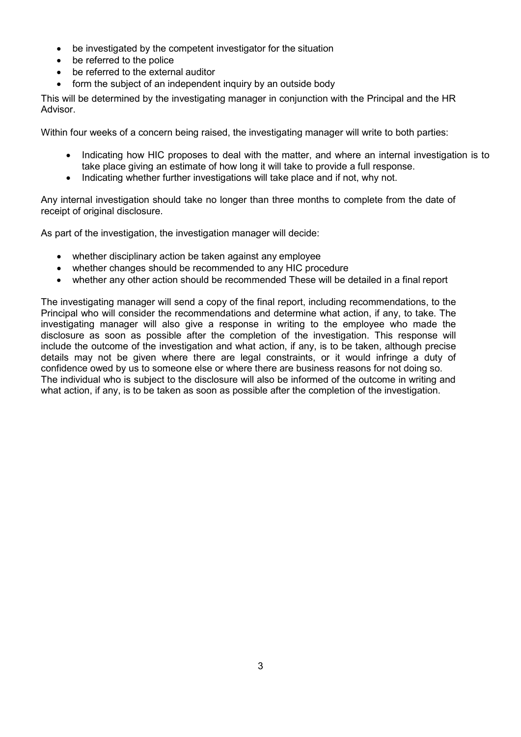- be investigated by the competent investigator for the situation
- be referred to the police
- be referred to the external auditor
- form the subject of an independent inquiry by an outside body

This will be determined by the investigating manager in conjunction with the Principal and the HR Advisor.

Within four weeks of a concern being raised, the investigating manager will write to both parties:

- Indicating how HIC proposes to deal with the matter, and where an internal investigation is to take place giving an estimate of how long it will take to provide a full response.
- Indicating whether further investigations will take place and if not, why not.

Any internal investigation should take no longer than three months to complete from the date of receipt of original disclosure.

As part of the investigation, the investigation manager will decide:

- whether disciplinary action be taken against any employee
- whether changes should be recommended to any HIC procedure
- whether any other action should be recommended These will be detailed in a final report

The investigating manager will send a copy of the final report, including recommendations, to the Principal who will consider the recommendations and determine what action, if any, to take. The investigating manager will also give a response in writing to the employee who made the disclosure as soon as possible after the completion of the investigation. This response will include the outcome of the investigation and what action, if any, is to be taken, although precise details may not be given where there are legal constraints, or it would infringe a duty of confidence owed by us to someone else or where there are business reasons for not doing so. The individual who is subject to the disclosure will also be informed of the outcome in writing and what action, if any, is to be taken as soon as possible after the completion of the investigation.